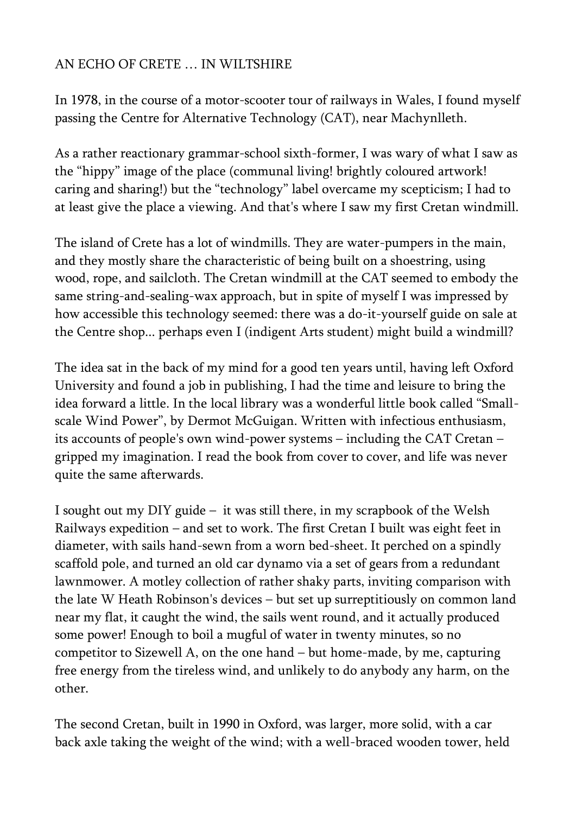## AN ECHO OF CRETE … IN WILTSHIRE

In 1978, in the course of a motor-scooter tour of railways in Wales, I found myself passing the Centre for Alternative Technology (CAT), near Machynlleth.

As a rather reactionary grammar-school sixth-former, I was wary of what I saw as the "hippy" image of the place (communal living! brightly coloured artwork! caring and sharing!) but the "technology" label overcame my scepticism; I had to at least give the place a viewing. And that's where I saw my first Cretan windmill.

The island of Crete has a lot of windmills. They are water-pumpers in the main, and they mostly share the characteristic of being built on a shoestring, using wood, rope, and sailcloth. The Cretan windmill at the CAT seemed to embody the same string-and-sealing-wax approach, but in spite of myself I was impressed by how accessible this technology seemed: there was a do-it-yourself guide on sale at the Centre shop... perhaps even I (indigent Arts student) might build a windmill?

The idea sat in the back of my mind for a good ten years until, having left Oxford University and found a job in publishing, I had the time and leisure to bring the idea forward a little. In the local library was a wonderful little book called "Smallscale Wind Power", by Dermot McGuigan. Written with infectious enthusiasm, its accounts of people's own wind-power systems – including the CAT Cretan – gripped my imagination. I read the book from cover to cover, and life was never quite the same afterwards.

I sought out my DIY guide – it was still there, in my scrapbook of the Welsh Railways expedition – and set to work. The first Cretan I built was eight feet in diameter, with sails hand-sewn from a worn bed-sheet. It perched on a spindly scaffold pole, and turned an old car dynamo via a set of gears from a redundant lawnmower. A motley collection of rather shaky parts, inviting comparison with the late W Heath Robinson's devices – but set up surreptitiously on common land near my flat, it caught the wind, the sails went round, and it actually produced some power! Enough to boil a mugful of water in twenty minutes, so no competitor to Sizewell A, on the one hand – but home-made, by me, capturing free energy from the tireless wind, and unlikely to do anybody any harm, on the other.

The second Cretan, built in 1990 in Oxford, was larger, more solid, with a car back axle taking the weight of the wind; with a well-braced wooden tower, held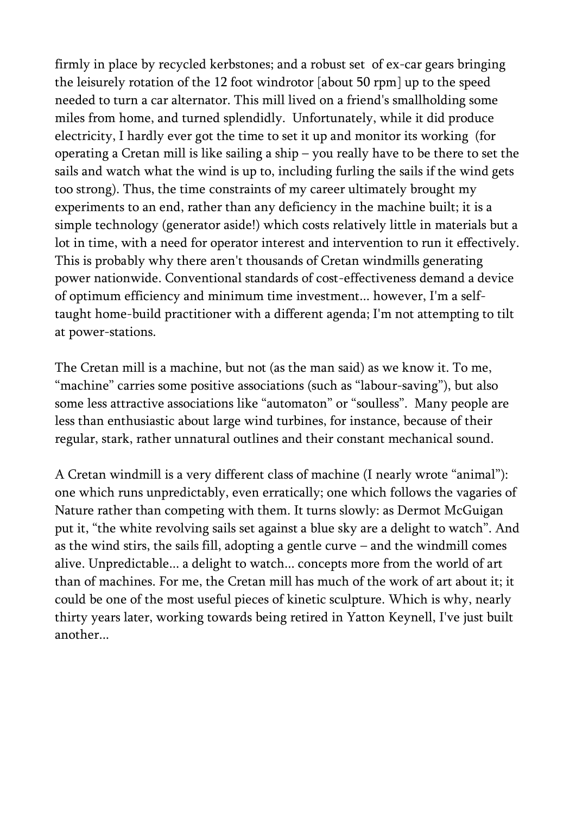firmly in place by recycled kerbstones; and a robust set of ex-car gears bringing the leisurely rotation of the 12 foot windrotor [about 50 rpm] up to the speed needed to turn a car alternator. This mill lived on a friend's smallholding some miles from home, and turned splendidly. Unfortunately, while it did produce electricity, I hardly ever got the time to set it up and monitor its working (for operating a Cretan mill is like sailing a ship – you really have to be there to set the sails and watch what the wind is up to, including furling the sails if the wind gets too strong). Thus, the time constraints of my career ultimately brought my experiments to an end, rather than any deficiency in the machine built; it is a simple technology (generator aside!) which costs relatively little in materials but a lot in time, with a need for operator interest and intervention to run it effectively. This is probably why there aren't thousands of Cretan windmills generating power nationwide. Conventional standards of cost-effectiveness demand a device of optimum efficiency and minimum time investment... however, I'm a selftaught home-build practitioner with a different agenda; I'm not attempting to tilt at power-stations.

The Cretan mill is a machine, but not (as the man said) as we know it. To me, "machine" carries some positive associations (such as "labour-saving"), but also some less attractive associations like "automaton" or "soulless". Many people are less than enthusiastic about large wind turbines, for instance, because of their regular, stark, rather unnatural outlines and their constant mechanical sound.

A Cretan windmill is a very different class of machine (I nearly wrote "animal"): one which runs unpredictably, even erratically; one which follows the vagaries of Nature rather than competing with them. It turns slowly: as Dermot McGuigan put it, "the white revolving sails set against a blue sky are a delight to watch". And as the wind stirs, the sails fill, adopting a gentle curve – and the windmill comes alive. Unpredictable... a delight to watch... concepts more from the world of art than of machines. For me, the Cretan mill has much of the work of art about it; it could be one of the most useful pieces of kinetic sculpture. Which is why, nearly thirty years later, working towards being retired in Yatton Keynell, I've just built another...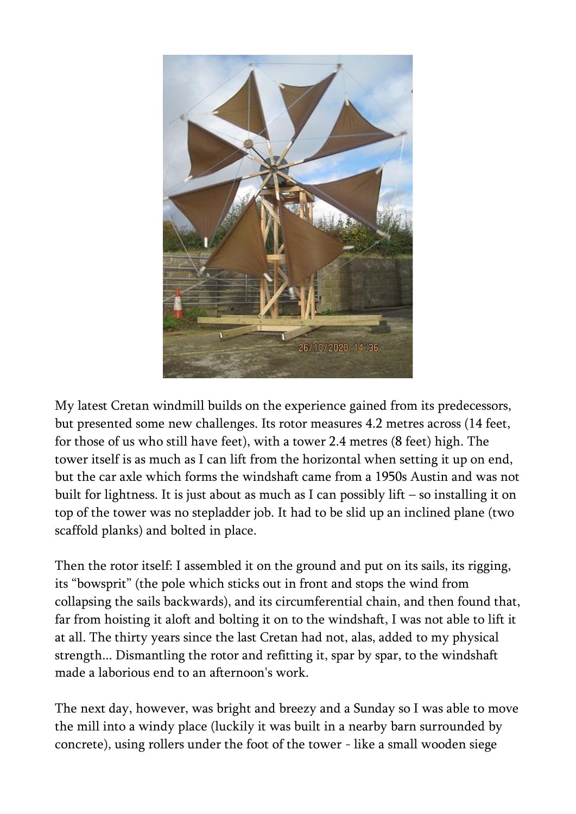

My latest Cretan windmill builds on the experience gained from its predecessors, but presented some new challenges. Its rotor measures 4.2 metres across (14 feet, for those of us who still have feet), with a tower 2.4 metres (8 feet) high. The tower itself is as much as I can lift from the horizontal when setting it up on end, but the car axle which forms the windshaft came from a 1950s Austin and was not built for lightness. It is just about as much as I can possibly lift – so installing it on top of the tower was no stepladder job. It had to be slid up an inclined plane (two scaffold planks) and bolted in place.

Then the rotor itself: I assembled it on the ground and put on its sails, its rigging, its "bowsprit" (the pole which sticks out in front and stops the wind from collapsing the sails backwards), and its circumferential chain, and then found that, far from hoisting it aloft and bolting it on to the windshaft, I was not able to lift it at all. The thirty years since the last Cretan had not, alas, added to my physical strength... Dismantling the rotor and refitting it, spar by spar, to the windshaft made a laborious end to an afternoon's work.

The next day, however, was bright and breezy and a Sunday so I was able to move the mill into a windy place (luckily it was built in a nearby barn surrounded by concrete), using rollers under the foot of the tower - like a small wooden siege